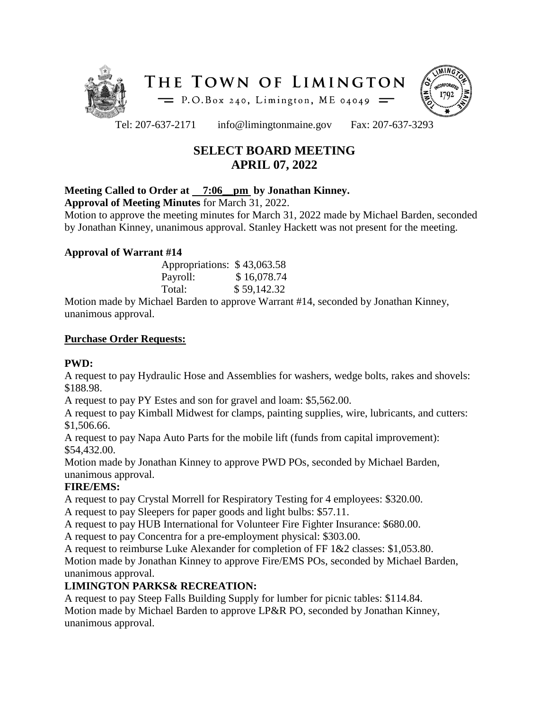



Tel: 207-637-2171 info@limingtonmaine.gov Fax: 207-637-3293

# **SELECT BOARD MEETING APRIL 07, 2022**

### **Meeting Called to Order at 7:06\_\_pm by Jonathan Kinney.**

**Approval of Meeting Minutes** for March 31, 2022.

Motion to approve the meeting minutes for March 31, 2022 made by Michael Barden, seconded by Jonathan Kinney, unanimous approval. Stanley Hackett was not present for the meeting.

### **Approval of Warrant #14**

| Appropriations: \$43,063.58 |             |
|-----------------------------|-------------|
| Payroll:                    | \$16,078.74 |
| Total:                      | \$59,142.32 |

Motion made by Michael Barden to approve Warrant #14, seconded by Jonathan Kinney, unanimous approval.

### **Purchase Order Requests:**

### **PWD:**

A request to pay Hydraulic Hose and Assemblies for washers, wedge bolts, rakes and shovels: \$188.98.

A request to pay PY Estes and son for gravel and loam: \$5,562.00.

A request to pay Kimball Midwest for clamps, painting supplies, wire, lubricants, and cutters: \$1,506.66.

A request to pay Napa Auto Parts for the mobile lift (funds from capital improvement): \$54,432.00.

Motion made by Jonathan Kinney to approve PWD POs, seconded by Michael Barden, unanimous approval.

## **FIRE/EMS:**

A request to pay Crystal Morrell for Respiratory Testing for 4 employees: \$320.00.

A request to pay Sleepers for paper goods and light bulbs: \$57.11.

A request to pay HUB International for Volunteer Fire Fighter Insurance: \$680.00.

A request to pay Concentra for a pre-employment physical: \$303.00.

A request to reimburse Luke Alexander for completion of FF 1&2 classes: \$1,053.80. Motion made by Jonathan Kinney to approve Fire/EMS POs, seconded by Michael Barden, unanimous approval.

# **LIMINGTON PARKS& RECREATION:**

A request to pay Steep Falls Building Supply for lumber for picnic tables: \$114.84. Motion made by Michael Barden to approve LP&R PO, seconded by Jonathan Kinney, unanimous approval.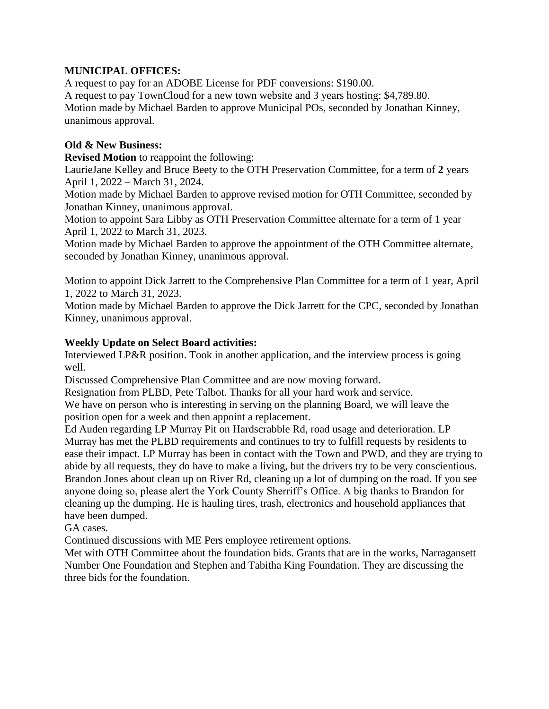### **MUNICIPAL OFFICES:**

A request to pay for an ADOBE License for PDF conversions: \$190.00. A request to pay TownCloud for a new town website and 3 years hosting: \$4,789.80. Motion made by Michael Barden to approve Municipal POs, seconded by Jonathan Kinney, unanimous approval.

### **Old & New Business:**

**Revised Motion** to reappoint the following:

LaurieJane Kelley and Bruce Beety to the OTH Preservation Committee, for a term of **2** years April 1, 2022 – March 31, 2024.

Motion made by Michael Barden to approve revised motion for OTH Committee, seconded by Jonathan Kinney, unanimous approval.

Motion to appoint Sara Libby as OTH Preservation Committee alternate for a term of 1 year April 1, 2022 to March 31, 2023.

Motion made by Michael Barden to approve the appointment of the OTH Committee alternate, seconded by Jonathan Kinney, unanimous approval.

Motion to appoint Dick Jarrett to the Comprehensive Plan Committee for a term of 1 year, April 1, 2022 to March 31, 2023.

Motion made by Michael Barden to approve the Dick Jarrett for the CPC, seconded by Jonathan Kinney, unanimous approval.

### **Weekly Update on Select Board activities:**

Interviewed LP&R position. Took in another application, and the interview process is going well.

Discussed Comprehensive Plan Committee and are now moving forward.

Resignation from PLBD, Pete Talbot. Thanks for all your hard work and service.

We have on person who is interesting in serving on the planning Board, we will leave the position open for a week and then appoint a replacement.

Ed Auden regarding LP Murray Pit on Hardscrabble Rd, road usage and deterioration. LP Murray has met the PLBD requirements and continues to try to fulfill requests by residents to ease their impact. LP Murray has been in contact with the Town and PWD, and they are trying to abide by all requests, they do have to make a living, but the drivers try to be very conscientious. Brandon Jones about clean up on River Rd, cleaning up a lot of dumping on the road. If you see anyone doing so, please alert the York County Sherriff's Office. A big thanks to Brandon for cleaning up the dumping. He is hauling tires, trash, electronics and household appliances that have been dumped.

GA cases.

Continued discussions with ME Pers employee retirement options.

Met with OTH Committee about the foundation bids. Grants that are in the works, Narragansett Number One Foundation and Stephen and Tabitha King Foundation. They are discussing the three bids for the foundation.